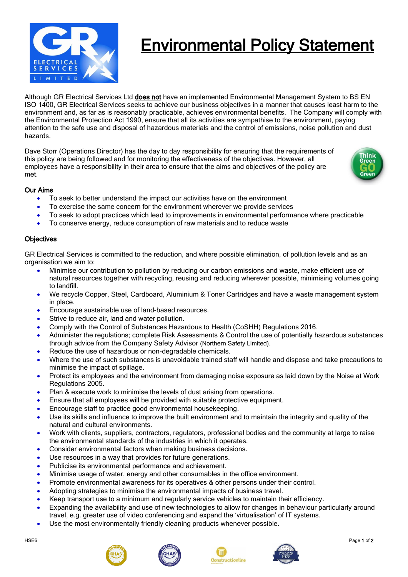

# Environmental Policy Statement

Although GR Electrical Services Ltd does not have an implemented Environmental Management System to BS EN ISO 1400, GR Electrical Services seeks to achieve our business objectives in a manner that causes least harm to the environment and, as far as is reasonably practicable, achieves environmental benefits. The Company will comply with the Environmental Protection Act 1990, ensure that all its activities are sympathise to the environment, paying attention to the safe use and disposal of hazardous materials and the control of emissions, noise pollution and dust hazards.

Dave Storr (Operations Director) has the day to day responsibility for ensuring that the requirements of this policy are being followed and for monitoring the effectiveness of the objectives. However, all employees have a responsibility in their area to ensure that the aims and objectives of the policy are met.



## Our Aims

- To seek to better understand the impact our activities have on the environment
- To exercise the same concern for the environment wherever we provide services
- To seek to adopt practices which lead to improvements in environmental performance where practicable
- To conserve energy, reduce consumption of raw materials and to reduce waste

### **Objectives**

GR Electrical Services is committed to the reduction, and where possible elimination, of pollution levels and as an organisation we aim to:

- Minimise our contribution to pollution by reducing our carbon emissions and waste, make efficient use of natural resources together with recycling, reusing and reducing wherever possible, minimising volumes going to landfill.
- We recycle Copper, Steel, Cardboard, Aluminium & Toner Cartridges and have a waste management system in place.
- Encourage sustainable use of land-based resources.
- Strive to reduce air, land and water pollution.
- Comply with the Control of Substances Hazardous to Health (CoSHH) Regulations 2016.
- Administer the regulations; complete Risk Assessments & Control the use of potentially hazardous substances through advice from the Company Safety Advisor (Northern Safety Limited).
- Reduce the use of hazardous or non-degradable chemicals.
- Where the use of such substances is unavoidable trained staff will handle and dispose and take precautions to minimise the impact of spillage.
- Protect its employees and the environment from damaging noise exposure as laid down by the Noise at Work Regulations 2005.
- Plan & execute work to minimise the levels of dust arising from operations.
- Ensure that all employees will be provided with suitable protective equipment.
- Encourage staff to practice good environmental housekeeping.
- Use its skills and influence to improve the built environment and to maintain the integrity and quality of the natural and cultural environments.
- Work with clients, suppliers, contractors, regulators, professional bodies and the community at large to raise the environmental standards of the industries in which it operates.
- Consider environmental factors when making business decisions.
- Use resources in a way that provides for future generations.
- Publicise its environmental performance and achievement.
- Minimise usage of water, energy and other consumables in the office environment.
- Promote environmental awareness for its operatives & other persons under their control.
- Adopting strategies to minimise the environmental impacts of business travel.
- Keep transport use to a minimum and regularly service vehicles to maintain their efficiency.
- Expanding the availability and use of new technologies to allow for changes in behaviour particularly around travel, e.g. greater use of video conferencing and expand the 'virtualisation' of IT systems.
- Use the most environmentally friendly cleaning products whenever possible.